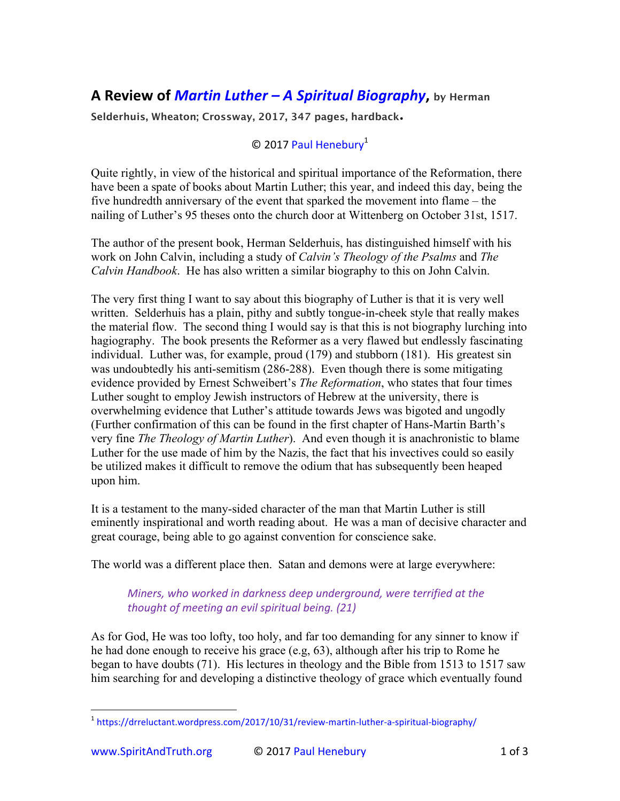## **A Review of** *Martin Luther* **– A Spiritual Biography**, by Herman

**Selderhuis, Wheaton; Crossway, 2017, 347 pages, hardback.**

## © 2017 Paul Henebury<sup>1</sup>

Quite rightly, in view of the historical and spiritual importance of the Reformation, there have been a spate of books about Martin Luther; this year, and indeed this day, being the five hundredth anniversary of the event that sparked the movement into flame – the nailing of Luther's 95 theses onto the church door at Wittenberg on October 31st, 1517.

The author of the present book, Herman Selderhuis, has distinguished himself with his work on John Calvin, including a study of *Calvin's Theology of the Psalms* and *The Calvin Handbook*. He has also written a similar biography to this on John Calvin.

The very first thing I want to say about this biography of Luther is that it is very well written. Selderhuis has a plain, pithy and subtly tongue-in-cheek style that really makes the material flow. The second thing I would say is that this is not biography lurching into hagiography. The book presents the Reformer as a very flawed but endlessly fascinating individual. Luther was, for example, proud (179) and stubborn (181). His greatest sin was undoubtedly his anti-semitism (286-288). Even though there is some mitigating evidence provided by Ernest Schweibert's *The Reformation*, who states that four times Luther sought to employ Jewish instructors of Hebrew at the university, there is overwhelming evidence that Luther's attitude towards Jews was bigoted and ungodly (Further confirmation of this can be found in the first chapter of Hans-Martin Barth's very fine *The Theology of Martin Luther*). And even though it is anachronistic to blame Luther for the use made of him by the Nazis, the fact that his invectives could so easily be utilized makes it difficult to remove the odium that has subsequently been heaped upon him.

It is a testament to the many-sided character of the man that Martin Luther is still eminently inspirational and worth reading about. He was a man of decisive character and great courage, being able to go against convention for conscience sake.

The world was a different place then. Satan and demons were at large everywhere:

## *Miners, who worked in darkness deep underground, were terrified at the thought of meeting an evil spiritual being.* (21)

As for God, He was too lofty, too holy, and far too demanding for any sinner to know if he had done enough to receive his grace (e.g, 63), although after his trip to Rome he began to have doubts (71). His lectures in theology and the Bible from 1513 to 1517 saw him searching for and developing a distinctive theology of grace which eventually found

 

<sup>&</sup>lt;sup>1</sup> https://drreluctant.wordpress.com/2017/10/31/review-martin-luther-a-spiritual-biography/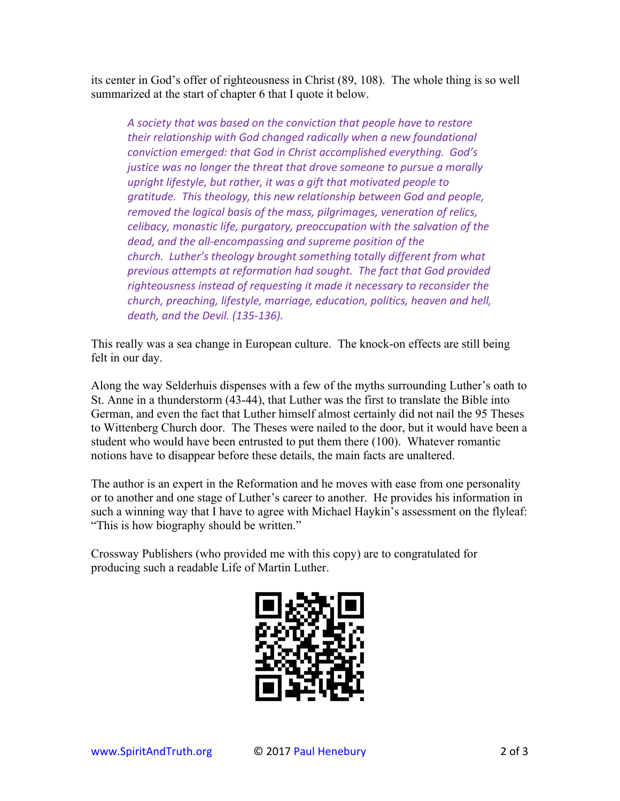its center in God's offer of righteousness in Christ (89, 108). The whole thing is so well summarized at the start of chapter 6 that I quote it below.

A society that was based on the conviction that people have to restore their relationship with God changed radically when a new foundational *conviction emerged: that God in Christ accomplished everything. God's justice* was no longer the threat that drove someone to pursue a morally *upright lifestyle, but rather, it was a gift that motivated people to gratitude. This theology, this new relationship between God and people, removed the logical basis of the mass, pilgrimages, veneration of relics, celibacy, monastic life, purgatory, preoccupation with the salvation of the* dead, and the all-encompassing and supreme position of the *church. Luther's theology brought something totally different from what* previous attempts at reformation had sought. The fact that God provided righteousness instead of requesting it made it necessary to reconsider the *church, preaching, lifestyle, marriage, education, politics, heaven and hell, death, and the Devil. (135-136).*

This really was a sea change in European culture. The knock-on effects are still being felt in our day.

Along the way Selderhuis dispenses with a few of the myths surrounding Luther's oath to St. Anne in a thunderstorm (43-44), that Luther was the first to translate the Bible into German, and even the fact that Luther himself almost certainly did not nail the 95 Theses to Wittenberg Church door. The Theses were nailed to the door, but it would have been a student who would have been entrusted to put them there (100). Whatever romantic notions have to disappear before these details, the main facts are unaltered.

The author is an expert in the Reformation and he moves with ease from one personality or to another and one stage of Luther's career to another. He provides his information in such a winning way that I have to agree with Michael Haykin's assessment on the flyleaf: "This is how biography should be written."

Crossway Publishers (who provided me with this copy) are to congratulated for producing such a readable Life of Martin Luther.